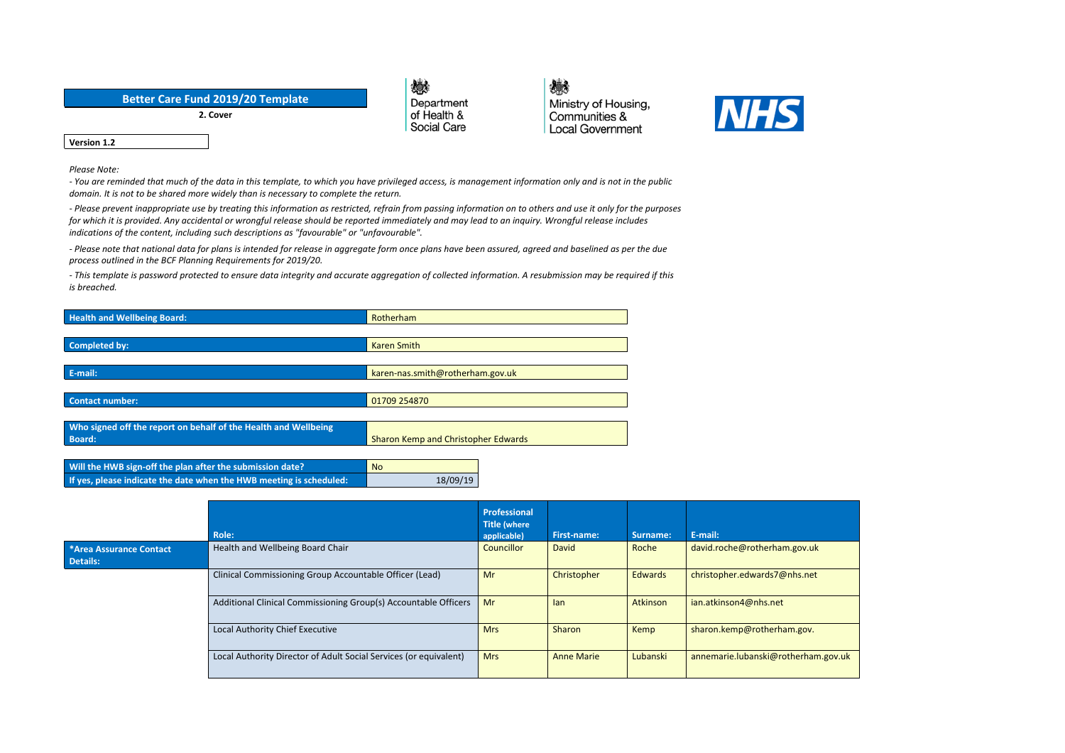| <b>Better Care Fund 2019/20 Template</b> |
|------------------------------------------|
| 2. Cover                                 |

戀 Department of Health & Social Care

戀 Ministry of Housing, Communities & **Local Government** 



**Version 1.2**

*Please Note:*

- You are reminded that much of the data in this template, to which you have privileged access, is management information only and is not in the public *domain. It is not to be shared more widely than is necessary to complete the return.*

- Please prevent inappropriate use by treating this information as restricted, refrain from passing information on to others and use it only for the purposes for which it is provided. Any accidental or wrongful release should be reported immediately and may lead to an inquiry. Wrongful release includes *indications of the content, including such descriptions as "favourable" or "unfavourable".*

- Please note that national data for plans is intended for release in aggregate form once plans have been assured, agreed and baselined as per the due *process outlined in the BCF Planning Requirements for 2019/20.*

- This template is password protected to ensure data integrity and accurate aggregation of collected information. A resubmission may be required if this *is breached.*

| <b>Health and Wellbeing Board:</b>                                  | Rotherham                                  |  |  |
|---------------------------------------------------------------------|--------------------------------------------|--|--|
|                                                                     |                                            |  |  |
| Completed by:                                                       | <b>Karen Smith</b>                         |  |  |
|                                                                     |                                            |  |  |
| E-mail:                                                             | karen-nas.smith@rotherham.gov.uk           |  |  |
|                                                                     |                                            |  |  |
| <b>Contact number:</b>                                              | 01709 254870                               |  |  |
|                                                                     |                                            |  |  |
| Who signed off the report on behalf of the Health and Wellbeing     |                                            |  |  |
| <b>Board:</b>                                                       | <b>Sharon Kemp and Christopher Edwards</b> |  |  |
|                                                                     |                                            |  |  |
| Will the HWB sign-off the plan after the submission date?           | <b>No</b>                                  |  |  |
| If yes, please indicate the date when the HWB meeting is scheduled: | 18/09/19                                   |  |  |

|                                            |                                                                   | <b>Professional</b>                |                    |                |                                     |
|--------------------------------------------|-------------------------------------------------------------------|------------------------------------|--------------------|----------------|-------------------------------------|
|                                            | <b>Role:</b>                                                      | <b>Title (where</b><br>applicable) | <b>First-name:</b> | Surname:       | E-mail:                             |
| *Area Assurance Contact<br><b>Details:</b> | Health and Wellbeing Board Chair                                  | <b>Councillor</b>                  | David              | Roche          | david.roche@rotherham.gov.uk        |
|                                            | Clinical Commissioning Group Accountable Officer (Lead)           | Mr                                 | Christopher        | <b>Edwards</b> | christopher.edwards7@nhs.net        |
|                                            | Additional Clinical Commissioning Group(s) Accountable Officers   | Mr                                 | lan                | Atkinson       | ian.atkinson4@nhs.net               |
|                                            | Local Authority Chief Executive                                   | <b>Mrs</b>                         | Sharon             | Kemp           | sharon.kemp@rotherham.gov.          |
|                                            | Local Authority Director of Adult Social Services (or equivalent) | <b>Mrs</b>                         | <b>Anne Marie</b>  | Lubanski       | annemarie.lubanski@rotherham.gov.uk |

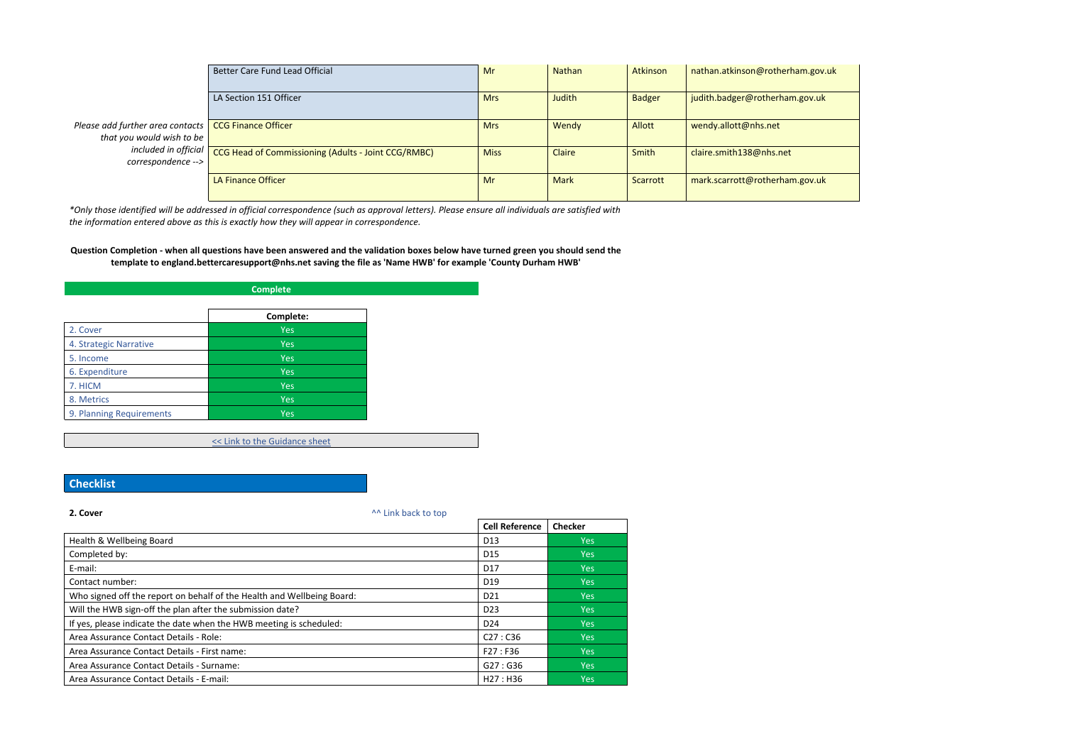|                                                                                     | Better Care Fund Lead Official                      | Mr          | Nathan      | Atkinson      | nathan.atkinson@rotherham.gov.uk |
|-------------------------------------------------------------------------------------|-----------------------------------------------------|-------------|-------------|---------------|----------------------------------|
|                                                                                     | LA Section 151 Officer                              | <b>Mrs</b>  | Judith      | <b>Badger</b> | judith.badger@rotherham.gov.uk   |
| Please add further area contacts   CCG Finance Officer<br>that you would wish to be |                                                     | <b>Mrs</b>  | Wendy       | <b>Allott</b> | wendy.allott@nhs.net             |
| included in official<br>correspondence -->                                          | CCG Head of Commissioning (Adults - Joint CCG/RMBC) | <b>Miss</b> | Claire      | Smith         | claire.smith138@nhs.net          |
|                                                                                     | LA Finance Officer                                  | Mr          | <b>Mark</b> | Scarrott      | mark.scarrott@rotherham.gov.uk   |

\*Only those identified will be addressed in official correspondence (such as approval letters). Please ensure all individuals are satisfied with *the information entered above as this is exactly how they will appear in correspondence.*

### Question Completion - when all questions have been answered and the validation boxes below have turned green you should send the **template to england.bettercaresupport@nhs.net saving the file as 'Name HWB' for example 'County Durham HWB'**

| <b>Complete</b>          |            |  |  |
|--------------------------|------------|--|--|
|                          | Complete:  |  |  |
| 2. Cover                 | <b>Yes</b> |  |  |
| 4. Strategic Narrative   | <b>Yes</b> |  |  |
| 5. Income                | <b>Yes</b> |  |  |
| 6. Expenditure           | <b>Yes</b> |  |  |
| 7. HICM                  | <b>Yes</b> |  |  |
| 8. Metrics               | <b>Yes</b> |  |  |
| 9. Planning Requirements | <b>Yes</b> |  |  |

<< Link to the Guidance sheet

## **Checklist**

| 2. Cover                                                               | ^^ Link back to top |                       |                |
|------------------------------------------------------------------------|---------------------|-----------------------|----------------|
|                                                                        |                     | <b>Cell Reference</b> | <b>Checker</b> |
| Health & Wellbeing Board                                               |                     | D <sub>13</sub>       | Yes            |
| Completed by:                                                          |                     | D <sub>15</sub>       | Yes            |
| E-mail:                                                                |                     | D <sub>17</sub>       | Yes            |
| Contact number:                                                        |                     | D <sub>19</sub>       | Yes            |
| Who signed off the report on behalf of the Health and Wellbeing Board: |                     | D <sub>21</sub>       | Yes            |
| Will the HWB sign-off the plan after the submission date?              |                     | D <sub>23</sub>       | Yes            |
| If yes, please indicate the date when the HWB meeting is scheduled:    |                     | D <sub>24</sub>       | Yes:           |
| Area Assurance Contact Details - Role:                                 |                     | C27: C36              | <b>Yes</b>     |
| Area Assurance Contact Details - First name:                           |                     | F27: F36              | Yes            |
| Area Assurance Contact Details - Surname:                              |                     | G27:G36               | Yes            |
| Area Assurance Contact Details - E-mail:                               |                     | H27: H36              | <b>Yes</b>     |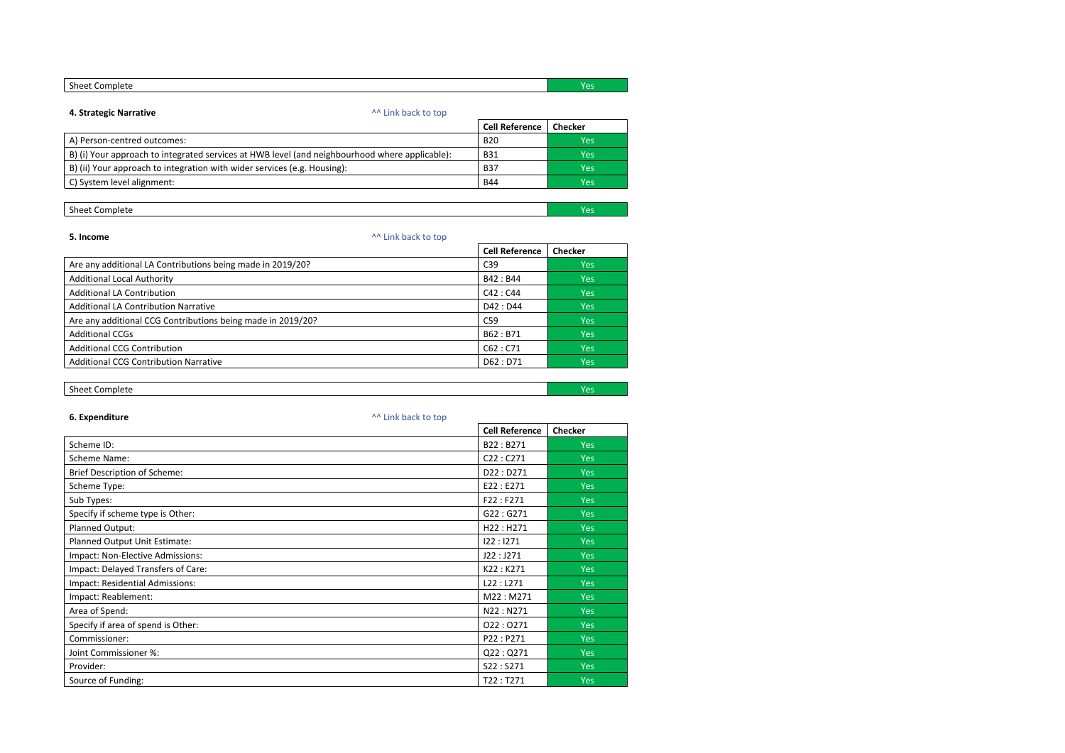| Sheet c.<br>Complete | ، م<br>. |
|----------------------|----------|
|                      |          |

#### **4. Strategic Narrative 1. The strategic of the strategie of the strategie of the strategie of the strategie of the strategie of the strategie of the strategie of the strategie of the strategie of the strategie of the st**

|                                                                                                | <b>Cell Reference</b> | <b>Checker</b> |
|------------------------------------------------------------------------------------------------|-----------------------|----------------|
| A) Person-centred outcomes:                                                                    | <b>B20</b>            | Yes            |
| B) (i) Your approach to integrated services at HWB level (and neighbourhood where applicable): | <b>B31</b>            | Yes            |
| B) (ii) Your approach to integration with wider services (e.g. Housing):                       | <b>B37</b>            | Yes            |
| C) System level alignment:                                                                     | <b>B44</b>            | Yes            |
|                                                                                                |                       |                |

# **Sheet Complete** Yes Yes

## **5. Income**  $\lambda^A$  Link [back](file:///C:/Users/dawn.mitchell/AppData/Local/Microsoft/Windows/INetCache/Content.MSO/3259D8AA.xlsx%23RANGE!A1) to top **Cell Reference Checker** Are any additional LA Contributions being made in 2019/20? CASES Are any additional LA Contributions being made in 2019/20? Additional Local Authority and the set of the set of the set of the set of the set of the set of the set of the set of the set of the set of the set of the set of the set of the set of the set of the set of the set of the Additional LA Contribution and the contribution contribution contribution contribution contribution contribution Additional LA Contribution Narrative **D42 : D44** Yes Are any additional CCG Contributions being made in 2019/20? C59 Yes Additional CCGs and the set of the set of the set of the set of the set of the set of the set of the set of the set of the set of the set of the set of the set of the set of the set of the set of the set of the set of the Additional CCG Contribution and the contribution of the contribution of the contribution of the contribution of the contribution of the contribution of the contribution of the contribution of the contribution of the contri Additional CCG Contribution Narrative **D62** : D71 Yes

### **Sheet Complete** Yes

| 6. Expenditure                      | ^^ Link back to top |                       |                |
|-------------------------------------|---------------------|-----------------------|----------------|
|                                     |                     | <b>Cell Reference</b> | <b>Checker</b> |
| Scheme ID:                          |                     | B22: B271             | <b>Yes</b>     |
| Scheme Name:                        |                     | C22: C271             | <b>Yes</b>     |
| <b>Brief Description of Scheme:</b> |                     | D22: D271             | <b>Yes</b>     |
| Scheme Type:                        |                     | E22 : E271            | <b>Yes</b>     |
| Sub Types:                          |                     | F22 : F271            | <b>Yes</b>     |
| Specify if scheme type is Other:    |                     | G22:G271              | <b>Yes</b>     |
| Planned Output:                     |                     | H22: H271             | <b>Yes</b>     |
| Planned Output Unit Estimate:       |                     | 122:1271              | <b>Yes</b>     |
| Impact: Non-Elective Admissions:    |                     | J22:J271              | <b>Yes</b>     |
| Impact: Delayed Transfers of Care:  |                     | K22: K271             | <b>Yes</b>     |
| Impact: Residential Admissions:     |                     | L22: L271             | <b>Yes</b>     |
| Impact: Reablement:                 |                     | M22: M271             | <b>Yes</b>     |
| Area of Spend:                      |                     | N22: N271             | <b>Yes</b>     |
| Specify if area of spend is Other:  |                     | 022:0271              | <b>Yes</b>     |
| Commissioner:                       |                     | P22: P271             | <b>Yes</b>     |
| Joint Commissioner %:               |                     | Q22:Q271              | <b>Yes</b>     |
| Provider:                           |                     | S22:S271              | <b>Yes</b>     |
| Source of Funding:                  |                     | T22: T271             | <b>Yes</b>     |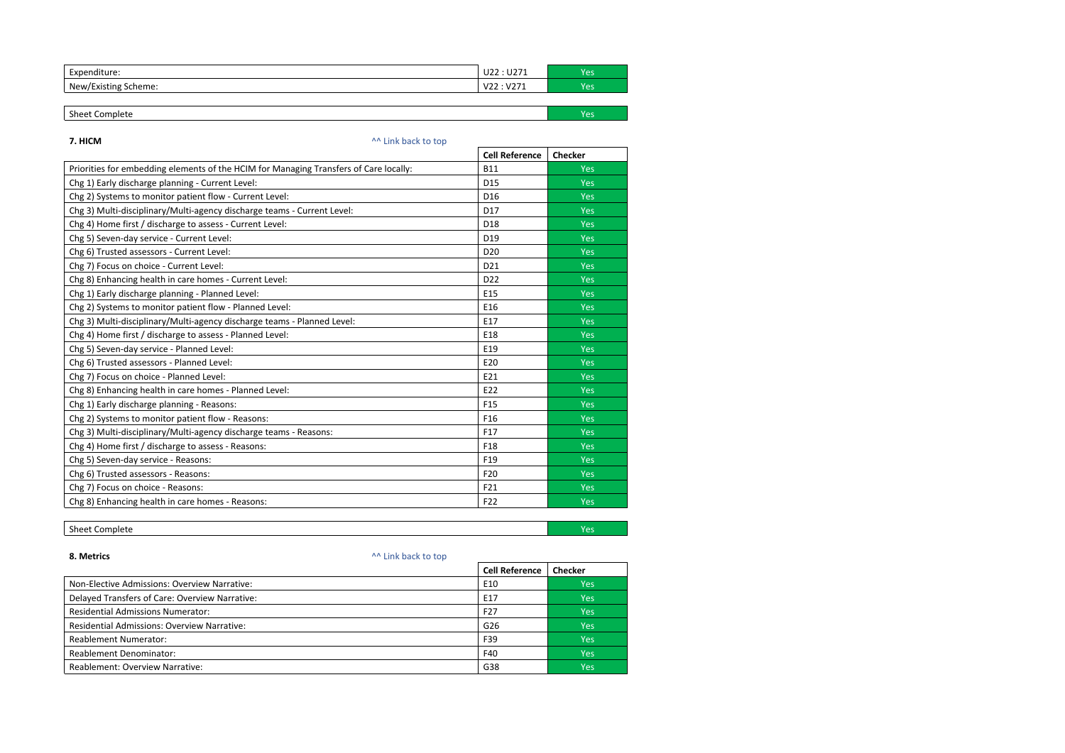| -<br>.<br>$   -$<br>nditure.<br>∟XU⊨   | $\overline{\phantom{a}}$<br>U22<br>U 471           | Yes       |
|----------------------------------------|----------------------------------------------------|-----------|
| New/Existing S<br>cheme:<br><u>. .</u> | $\sim$<br>$\sim$<br>$\mathbf{v}$<br>▿▵▵<br>, , , , | Ved<br>-- |

| - 1<br>omniet<br>, sneef<br>$\cdots$<br>---<br>-- |  |
|---------------------------------------------------|--|
|                                                   |  |

#### **7. HICM** ^^ Link [back](file:///C:/Users/dawn.mitchell/AppData/Local/Microsoft/Windows/INetCache/Content.MSO/3259D8AA.xlsx%23RANGE!A1) to top

## **8. Metrics** ^^ Link [back](file:///C:/Users/dawn.mitchell/AppData/Local/Microsoft/Windows/INetCache/Content.MSO/3259D8AA.xlsx%23RANGE!A1) to top **Cell Reference Checker** Non-Elective Admissions: Overview Narrative: Energy Administration of the Sea Party of the Sea Party of the Sea Party of the Sea Party of the Sea Party of the Sea Party of the Sea Party of the Sea Party of the Sea Party of Delayed Transfers of Care: Overview Narrative: Entertainment of the US of Care of Care of Care of Care of Care Residential Admissions Numerator: The Second Second Second Second Second Second Second Second Second Second Second Second Second Second Second Second Second Second Second Second Second Second Second Second Second Second Se Residential Admissions: Overview Narrative: Gastro Controllering and Controllering and Controllering and Controllering and Controllering and Controllering and Controllering and Controllering and Controllering and Controlle Reablement Numerator: The Second Second Second Second Second Second Second Second Second Second Second Second Second Second Second Second Second Second Second Second Second Second Second Second Second Second Second Second Reablement Denominator: The Second Second Second Second Second Second Second Second Second Second Second Second Second Second Second Second Second Second Second Second Second Second Second Second Second Second Second Secon Reablement: Overview Narrative: Sales and California Control of the Second Vest of the Second Vest of the Second Vest of the Second Vest of the Second Vest of the Second Vest of the Second Vest of the Second Vest of the Se

|                                                                                       | <b>Cell Reference</b> | <b>Checker</b> |
|---------------------------------------------------------------------------------------|-----------------------|----------------|
| Priorities for embedding elements of the HCIM for Managing Transfers of Care locally: | <b>B11</b>            | <b>Yes</b>     |
| Chg 1) Early discharge planning - Current Level:                                      | D15                   | <b>Yes</b>     |
| Chg 2) Systems to monitor patient flow - Current Level:                               | D <sub>16</sub>       | <b>Yes</b>     |
| Chg 3) Multi-disciplinary/Multi-agency discharge teams - Current Level:               | D17                   | Yes            |
| Chg 4) Home first / discharge to assess - Current Level:                              | D <sub>18</sub>       | <b>Yes</b>     |
| Chg 5) Seven-day service - Current Level:                                             | D19                   | <b>Yes</b>     |
| Chg 6) Trusted assessors - Current Level:                                             | D <sub>20</sub>       | <b>Yes</b>     |
| Chg 7) Focus on choice - Current Level:                                               | D21                   | <b>Yes</b>     |
| Chg 8) Enhancing health in care homes - Current Level:                                | D <sub>22</sub>       | <b>Yes</b>     |
| Chg 1) Early discharge planning - Planned Level:                                      | E15                   | Yes            |
| Chg 2) Systems to monitor patient flow - Planned Level:                               | E16                   | Yes            |
| Chg 3) Multi-disciplinary/Multi-agency discharge teams - Planned Level:               | E17                   | <b>Yes</b>     |
| Chg 4) Home first / discharge to assess - Planned Level:                              | E18                   | <b>Yes</b>     |
| Chg 5) Seven-day service - Planned Level:                                             | E19                   | <b>Yes</b>     |
| Chg 6) Trusted assessors - Planned Level:                                             | E20                   | Yes            |
| Chg 7) Focus on choice - Planned Level:                                               | E21                   | <b>Yes</b>     |
| Chg 8) Enhancing health in care homes - Planned Level:                                | E22                   | Yes            |
| Chg 1) Early discharge planning - Reasons:                                            | F <sub>15</sub>       | Yes            |
| Chg 2) Systems to monitor patient flow - Reasons:                                     | F <sub>16</sub>       | <b>Yes</b>     |
| Chg 3) Multi-disciplinary/Multi-agency discharge teams - Reasons:                     | F17                   | <b>Yes</b>     |
| Chg 4) Home first / discharge to assess - Reasons:                                    | F <sub>18</sub>       | <b>Yes</b>     |
| Chg 5) Seven-day service - Reasons:                                                   | F <sub>19</sub>       | Yes            |
| Chg 6) Trusted assessors - Reasons:                                                   | F20                   | Yes            |
| Chg 7) Focus on choice - Reasons:                                                     | F21                   | Yes            |
| Chg 8) Enhancing health in care homes - Reasons:                                      | F22                   | Yes            |

## **Sheet Complete** Yes